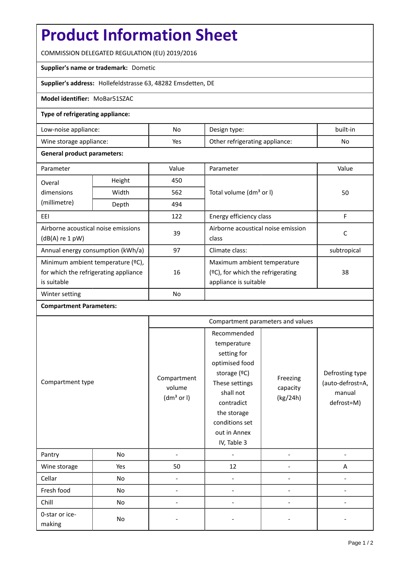# **Product Information Sheet**

COMMISSION DELEGATED REGULATION (EU) 2019/2016

## **Supplier's name or trademark:** Dometic

**Supplier's address:** Hollefeldstrasse 63, 48282 Emsdetten, DE

#### **Model identifier:** MoBar51SZAC

## **Type of refrigerating appliance:**

| Low-noise appliance:    | No  | Design type:                   | built-in |
|-------------------------|-----|--------------------------------|----------|
| Wine storage appliance: | Yes | Other refrigerating appliance: | No       |

#### **General product parameters:**

| Parameter                                                                                 |        | Value     | Parameter                                                                                 | Value       |  |
|-------------------------------------------------------------------------------------------|--------|-----------|-------------------------------------------------------------------------------------------|-------------|--|
| Overal                                                                                    | Height | 450       |                                                                                           |             |  |
| dimensions                                                                                | Width  | 562       | Total volume (dm <sup>3</sup> or I)                                                       | 50          |  |
| (millimetre)                                                                              | Depth  | 494       |                                                                                           |             |  |
| EEI                                                                                       |        | 122       | Energy efficiency class                                                                   | F           |  |
| Airborne acoustical noise emissions<br>$(dB(A)$ re 1 pW)                                  |        | 39        | Airborne acoustical noise emission<br>class                                               | C           |  |
| Annual energy consumption (kWh/a)                                                         |        | 97        | Climate class:                                                                            | subtropical |  |
| Minimum ambient temperature (°C),<br>for which the refrigerating appliance<br>is suitable |        | 16        | Maximum ambient temperature<br>(ºC), for which the refrigerating<br>appliance is suitable | 38          |  |
| Winter setting                                                                            |        | <b>No</b> |                                                                                           |             |  |

## **Compartment Parameters:**

| Compartment type         |     | Compartment parameters and values               |                                                                                                                                                                                          |                                  |                                                             |
|--------------------------|-----|-------------------------------------------------|------------------------------------------------------------------------------------------------------------------------------------------------------------------------------------------|----------------------------------|-------------------------------------------------------------|
|                          |     | Compartment<br>volume<br>(dm <sup>3</sup> or I) | Recommended<br>temperature<br>setting for<br>optimised food<br>storage (°C)<br>These settings<br>shall not<br>contradict<br>the storage<br>conditions set<br>out in Annex<br>IV, Table 3 | Freezing<br>capacity<br>(kg/24h) | Defrosting type<br>(auto-defrost=A,<br>manual<br>defrost=M) |
| Pantry                   | No  |                                                 |                                                                                                                                                                                          |                                  |                                                             |
| Wine storage             | Yes | 50                                              | 12                                                                                                                                                                                       |                                  | A                                                           |
| Cellar                   | No  | $\overline{\phantom{a}}$                        |                                                                                                                                                                                          |                                  |                                                             |
| Fresh food               | No  |                                                 |                                                                                                                                                                                          |                                  |                                                             |
| Chill                    | No  |                                                 |                                                                                                                                                                                          |                                  |                                                             |
| 0-star or ice-<br>making | No  |                                                 |                                                                                                                                                                                          |                                  |                                                             |